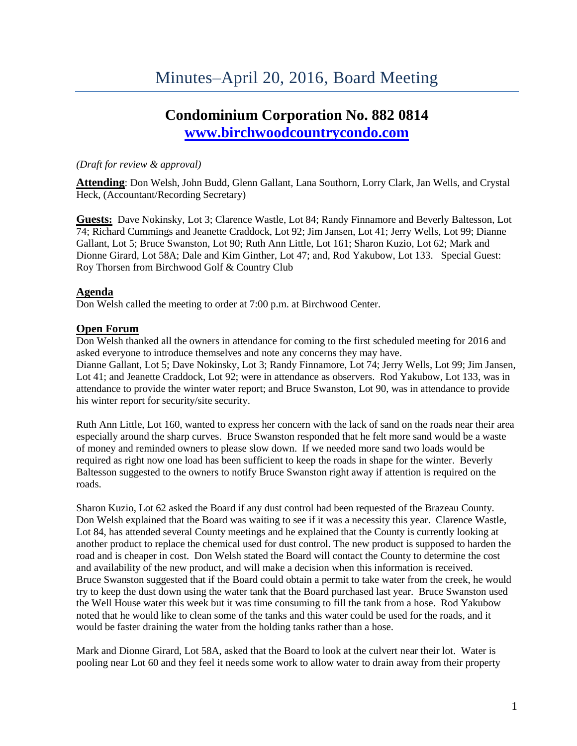# **Condominium Corporation No. 882 0814 [www.birchwoodcountrycondo.com](http://www.birchwoodcountrycondo.com/)**

#### *(Draft for review & approval)*

**Attending**: Don Welsh, John Budd, Glenn Gallant, Lana Southorn, Lorry Clark, Jan Wells, and Crystal Heck, (Accountant/Recording Secretary)

**Guests:** Dave Nokinsky, Lot 3; Clarence Wastle, Lot 84; Randy Finnamore and Beverly Baltesson, Lot 74; Richard Cummings and Jeanette Craddock, Lot 92; Jim Jansen, Lot 41; Jerry Wells, Lot 99; Dianne Gallant, Lot 5; Bruce Swanston, Lot 90; Ruth Ann Little, Lot 161; Sharon Kuzio, Lot 62; Mark and Dionne Girard, Lot 58A; Dale and Kim Ginther, Lot 47; and, Rod Yakubow, Lot 133. Special Guest: Roy Thorsen from Birchwood Golf & Country Club

#### **Agenda**

Don Welsh called the meeting to order at 7:00 p.m. at Birchwood Center.

#### **Open Forum**

Don Welsh thanked all the owners in attendance for coming to the first scheduled meeting for 2016 and asked everyone to introduce themselves and note any concerns they may have.

Dianne Gallant, Lot 5; Dave Nokinsky, Lot 3; Randy Finnamore, Lot 74; Jerry Wells, Lot 99; Jim Jansen, Lot 41; and Jeanette Craddock, Lot 92; were in attendance as observers. Rod Yakubow, Lot 133, was in attendance to provide the winter water report; and Bruce Swanston, Lot 90, was in attendance to provide his winter report for security/site security.

Ruth Ann Little, Lot 160, wanted to express her concern with the lack of sand on the roads near their area especially around the sharp curves. Bruce Swanston responded that he felt more sand would be a waste of money and reminded owners to please slow down. If we needed more sand two loads would be required as right now one load has been sufficient to keep the roads in shape for the winter. Beverly Baltesson suggested to the owners to notify Bruce Swanston right away if attention is required on the roads.

Sharon Kuzio, Lot 62 asked the Board if any dust control had been requested of the Brazeau County. Don Welsh explained that the Board was waiting to see if it was a necessity this year. Clarence Wastle, Lot 84, has attended several County meetings and he explained that the County is currently looking at another product to replace the chemical used for dust control. The new product is supposed to harden the road and is cheaper in cost. Don Welsh stated the Board will contact the County to determine the cost and availability of the new product, and will make a decision when this information is received. Bruce Swanston suggested that if the Board could obtain a permit to take water from the creek, he would try to keep the dust down using the water tank that the Board purchased last year. Bruce Swanston used the Well House water this week but it was time consuming to fill the tank from a hose. Rod Yakubow noted that he would like to clean some of the tanks and this water could be used for the roads, and it would be faster draining the water from the holding tanks rather than a hose.

Mark and Dionne Girard, Lot 58A, asked that the Board to look at the culvert near their lot. Water is pooling near Lot 60 and they feel it needs some work to allow water to drain away from their property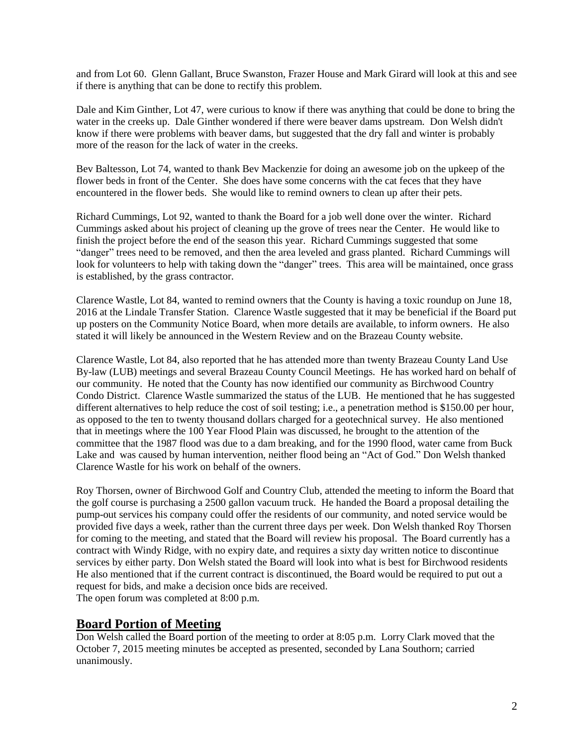and from Lot 60. Glenn Gallant, Bruce Swanston, Frazer House and Mark Girard will look at this and see if there is anything that can be done to rectify this problem.

Dale and Kim Ginther, Lot 47, were curious to know if there was anything that could be done to bring the water in the creeks up. Dale Ginther wondered if there were beaver dams upstream. Don Welsh didn't know if there were problems with beaver dams, but suggested that the dry fall and winter is probably more of the reason for the lack of water in the creeks.

Bev Baltesson, Lot 74, wanted to thank Bev Mackenzie for doing an awesome job on the upkeep of the flower beds in front of the Center. She does have some concerns with the cat feces that they have encountered in the flower beds. She would like to remind owners to clean up after their pets.

Richard Cummings, Lot 92, wanted to thank the Board for a job well done over the winter. Richard Cummings asked about his project of cleaning up the grove of trees near the Center. He would like to finish the project before the end of the season this year. Richard Cummings suggested that some "danger" trees need to be removed, and then the area leveled and grass planted. Richard Cummings will look for volunteers to help with taking down the "danger" trees. This area will be maintained, once grass is established, by the grass contractor.

Clarence Wastle, Lot 84, wanted to remind owners that the County is having a toxic roundup on June 18, 2016 at the Lindale Transfer Station. Clarence Wastle suggested that it may be beneficial if the Board put up posters on the Community Notice Board, when more details are available, to inform owners. He also stated it will likely be announced in the Western Review and on the Brazeau County website.

Clarence Wastle, Lot 84, also reported that he has attended more than twenty Brazeau County Land Use By-law (LUB) meetings and several Brazeau County Council Meetings. He has worked hard on behalf of our community. He noted that the County has now identified our community as Birchwood Country Condo District. Clarence Wastle summarized the status of the LUB. He mentioned that he has suggested different alternatives to help reduce the cost of soil testing; i.e., a penetration method is \$150.00 per hour, as opposed to the ten to twenty thousand dollars charged for a geotechnical survey. He also mentioned that in meetings where the 100 Year Flood Plain was discussed, he brought to the attention of the committee that the 1987 flood was due to a dam breaking, and for the 1990 flood, water came from Buck Lake and was caused by human intervention, neither flood being an "Act of God." Don Welsh thanked Clarence Wastle for his work on behalf of the owners.

Roy Thorsen, owner of Birchwood Golf and Country Club, attended the meeting to inform the Board that the golf course is purchasing a 2500 gallon vacuum truck. He handed the Board a proposal detailing the pump-out services his company could offer the residents of our community, and noted service would be provided five days a week, rather than the current three days per week. Don Welsh thanked Roy Thorsen for coming to the meeting, and stated that the Board will review his proposal. The Board currently has a contract with Windy Ridge, with no expiry date, and requires a sixty day written notice to discontinue services by either party. Don Welsh stated the Board will look into what is best for Birchwood residents He also mentioned that if the current contract is discontinued, the Board would be required to put out a request for bids, and make a decision once bids are received. The open forum was completed at 8:00 p.m.

# **Board Portion of Meeting**

Don Welsh called the Board portion of the meeting to order at 8:05 p.m. Lorry Clark moved that the October 7, 2015 meeting minutes be accepted as presented, seconded by Lana Southorn; carried unanimously.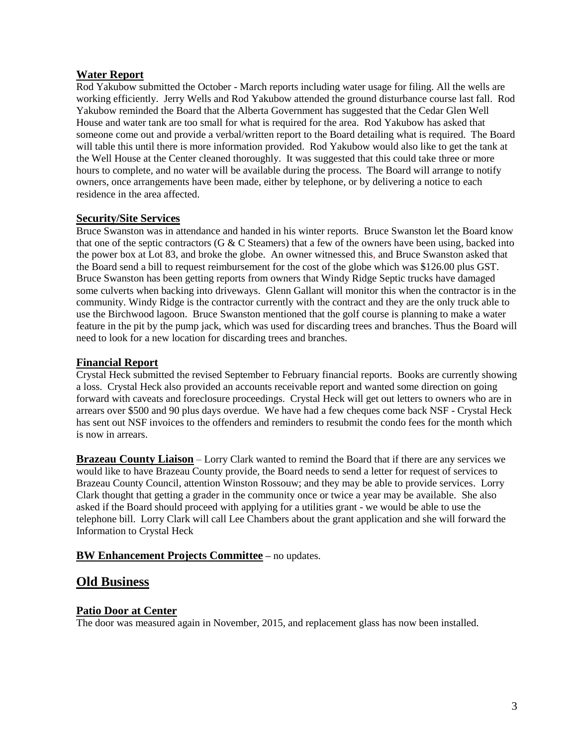# **Water Report**

Rod Yakubow submitted the October - March reports including water usage for filing. All the wells are working efficiently. Jerry Wells and Rod Yakubow attended the ground disturbance course last fall. Rod Yakubow reminded the Board that the Alberta Government has suggested that the Cedar Glen Well House and water tank are too small for what is required for the area. Rod Yakubow has asked that someone come out and provide a verbal/written report to the Board detailing what is required. The Board will table this until there is more information provided. Rod Yakubow would also like to get the tank at the Well House at the Center cleaned thoroughly. It was suggested that this could take three or more hours to complete, and no water will be available during the process. The Board will arrange to notify owners, once arrangements have been made, either by telephone, or by delivering a notice to each residence in the area affected.

# **Security/Site Services**

Bruce Swanston was in attendance and handed in his winter reports. Bruce Swanston let the Board know that one of the septic contractors (G & C Steamers) that a few of the owners have been using, backed into the power box at Lot 83, and broke the globe. An owner witnessed this, and Bruce Swanston asked that the Board send a bill to request reimbursement for the cost of the globe which was \$126.00 plus GST. Bruce Swanston has been getting reports from owners that Windy Ridge Septic trucks have damaged some culverts when backing into driveways. Glenn Gallant will monitor this when the contractor is in the community. Windy Ridge is the contractor currently with the contract and they are the only truck able to use the Birchwood lagoon. Bruce Swanston mentioned that the golf course is planning to make a water feature in the pit by the pump jack, which was used for discarding trees and branches. Thus the Board will need to look for a new location for discarding trees and branches.

# **Financial Report**

Crystal Heck submitted the revised September to February financial reports. Books are currently showing a loss. Crystal Heck also provided an accounts receivable report and wanted some direction on going forward with caveats and foreclosure proceedings. Crystal Heck will get out letters to owners who are in arrears over \$500 and 90 plus days overdue. We have had a few cheques come back NSF - Crystal Heck has sent out NSF invoices to the offenders and reminders to resubmit the condo fees for the month which is now in arrears.

**Brazeau County Liaison** – Lorry Clark wanted to remind the Board that if there are any services we would like to have Brazeau County provide, the Board needs to send a letter for request of services to Brazeau County Council, attention Winston Rossouw; and they may be able to provide services. Lorry Clark thought that getting a grader in the community once or twice a year may be available. She also asked if the Board should proceed with applying for a utilities grant - we would be able to use the telephone bill. Lorry Clark will call Lee Chambers about the grant application and she will forward the Information to Crystal Heck

# **BW Enhancement Projects Committee –** no updates.

# **Old Business**

# **Patio Door at Center**

The door was measured again in November, 2015, and replacement glass has now been installed.